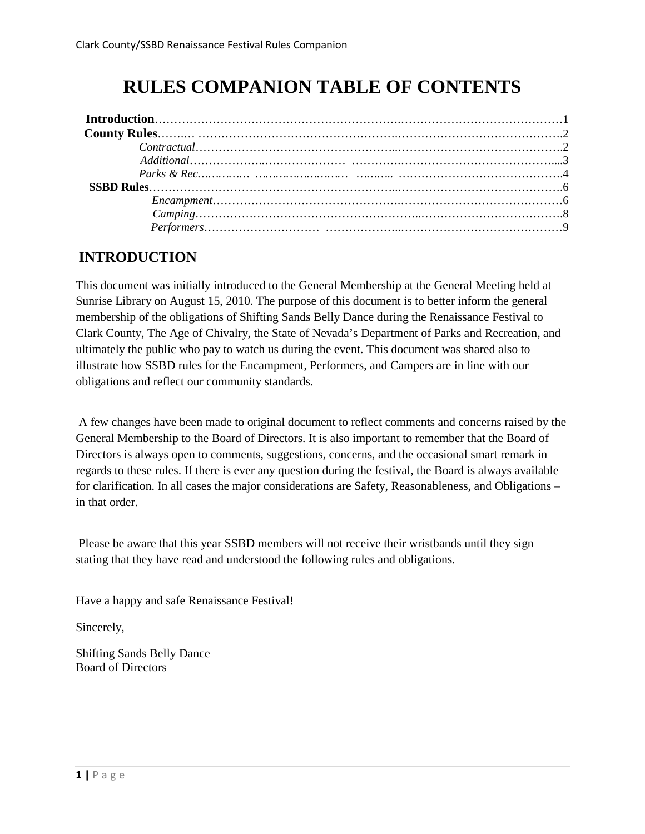## **RULES COMPANION TABLE OF CONTENTS**

| $Camping \dots 8$ |  |
|-------------------|--|
|                   |  |

## **INTRODUCTION**

This document was initially introduced to the General Membership at the General Meeting held at Sunrise Library on August 15, 2010. The purpose of this document is to better inform the general membership of the obligations of Shifting Sands Belly Dance during the Renaissance Festival to Clark County, The Age of Chivalry, the State of Nevada's Department of Parks and Recreation, and ultimately the public who pay to watch us during the event. This document was shared also to illustrate how SSBD rules for the Encampment, Performers, and Campers are in line with our obligations and reflect our community standards.

A few changes have been made to original document to reflect comments and concerns raised by the General Membership to the Board of Directors. It is also important to remember that the Board of Directors is always open to comments, suggestions, concerns, and the occasional smart remark in regards to these rules. If there is ever any question during the festival, the Board is always available for clarification. In all cases the major considerations are Safety, Reasonableness, and Obligations – in that order.

Please be aware that this year SSBD members will not receive their wristbands until they sign stating that they have read and understood the following rules and obligations.

Have a happy and safe Renaissance Festival!

Sincerely,

Shifting Sands Belly Dance Board of Directors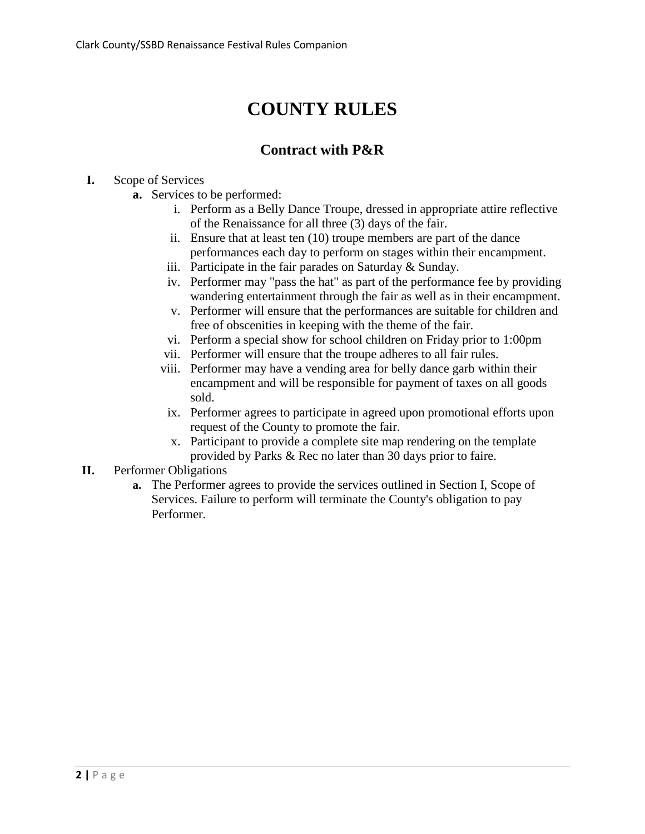# **COUNTY RULES**

## **Contract with P&R**

#### **I.** Scope of Services

- **a.** Services to be performed:
	- i. Perform as a Belly Dance Troupe, dressed in appropriate attire reflective of the Renaissance for all three (3) days of the fair.
	- ii. Ensure that at least ten (10) troupe members are part of the dance performances each day to perform on stages within their encampment.
	- iii. Participate in the fair parades on Saturday & Sunday.
	- iv. Performer may "pass the hat" as part of the performance fee by providing wandering entertainment through the fair as well as in their encampment.
	- v. Performer will ensure that the performances are suitable for children and free of obscenities in keeping with the theme of the fair.
	- vi. Perform a special show for school children on Friday prior to 1:00pm
	- vii. Performer will ensure that the troupe adheres to all fair rules.
	- viii. Performer may have a vending area for belly dance garb within their encampment and will be responsible for payment of taxes on all goods sold.
	- ix. Performer agrees to participate in agreed upon promotional efforts upon request of the County to promote the fair.
	- x. Participant to provide a complete site map rendering on the template provided by Parks & Rec no later than 30 days prior to faire.
- **II.** Performer Obligations
	- **a.** The Performer agrees to provide the services outlined in Section I, Scope of Services. Failure to perform will terminate the County's obligation to pay Performer.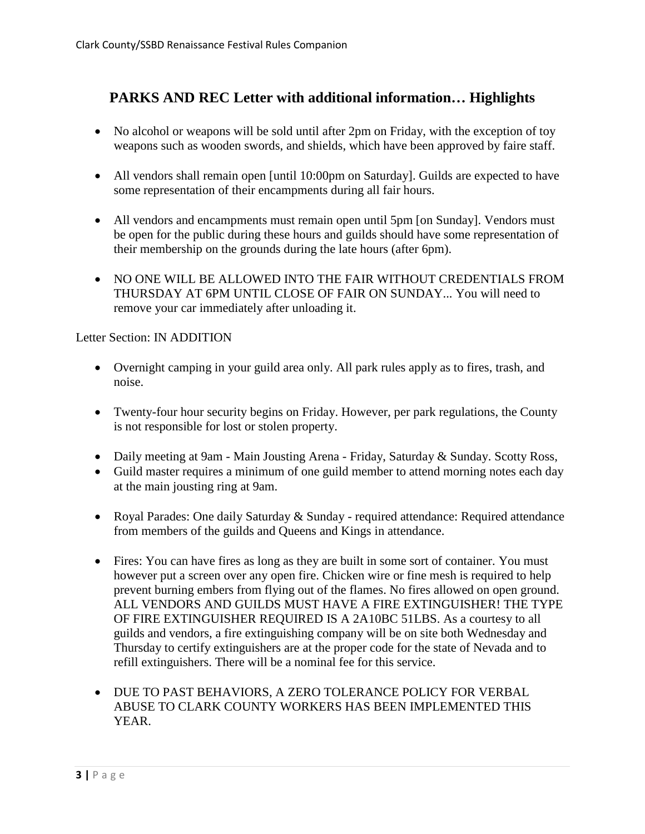## **PARKS AND REC Letter with additional information… Highlights**

- No alcohol or weapons will be sold until after 2pm on Friday, with the exception of toy weapons such as wooden swords, and shields, which have been approved by faire staff.
- All vendors shall remain open [until 10:00pm on Saturday]. Guilds are expected to have some representation of their encampments during all fair hours.
- All vendors and encampments must remain open until 5pm [on Sunday]. Vendors must be open for the public during these hours and guilds should have some representation of their membership on the grounds during the late hours (after 6pm).
- NO ONE WILL BE ALLOWED INTO THE FAIR WITHOUT CREDENTIALS FROM THURSDAY AT 6PM UNTIL CLOSE OF FAIR ON SUNDAY... You will need to remove your car immediately after unloading it.

Letter Section: IN ADDITION

- Overnight camping in your guild area only. All park rules apply as to fires, trash, and noise.
- Twenty-four hour security begins on Friday. However, per park regulations, the County is not responsible for lost or stolen property.
- Daily meeting at 9am Main Jousting Arena Friday, Saturday & Sunday. Scotty Ross,
- Guild master requires a minimum of one guild member to attend morning notes each day at the main jousting ring at 9am.
- Royal Parades: One daily Saturday & Sunday required attendance: Required attendance from members of the guilds and Queens and Kings in attendance.
- Fires: You can have fires as long as they are built in some sort of container. You must however put a screen over any open fire. Chicken wire or fine mesh is required to help prevent burning embers from flying out of the flames. No fires allowed on open ground. ALL VENDORS AND GUILDS MUST HAVE A FIRE EXTINGUISHER! THE TYPE OF FIRE EXTINGUISHER REQUIRED IS A 2A10BC 51LBS. As a courtesy to all guilds and vendors, a fire extinguishing company will be on site both Wednesday and Thursday to certify extinguishers are at the proper code for the state of Nevada and to refill extinguishers. There will be a nominal fee for this service.
- DUE TO PAST BEHAVIORS, A ZERO TOLERANCE POLICY FOR VERBAL ABUSE TO CLARK COUNTY WORKERS HAS BEEN IMPLEMENTED THIS YEAR.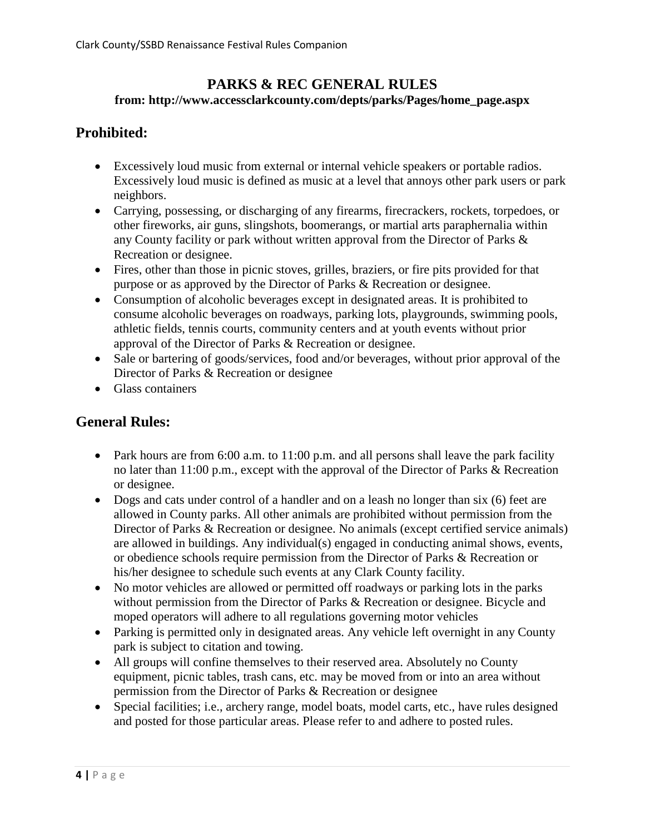#### **PARKS & REC GENERAL RULES from: http://www.accessclarkcounty.com/depts/parks/Pages/home\_page.aspx**

### **Prohibited:**

- Excessively loud music from external or internal vehicle speakers or portable radios. Excessively loud music is defined as music at a level that annoys other park users or park neighbors.
- Carrying, possessing, or discharging of any firearms, firecrackers, rockets, torpedoes, or other fireworks, air guns, slingshots, boomerangs, or martial arts paraphernalia within any County facility or park without written approval from the Director of Parks & Recreation or designee.
- Fires, other than those in picnic stoves, grilles, braziers, or fire pits provided for that purpose or as approved by the Director of Parks & Recreation or designee.
- Consumption of alcoholic beverages except in designated areas. It is prohibited to consume alcoholic beverages on roadways, parking lots, playgrounds, swimming pools, athletic fields, tennis courts, community centers and at youth events without prior approval of the Director of Parks & Recreation or designee.
- Sale or bartering of goods/services, food and/or beverages, without prior approval of the Director of Parks & Recreation or designee
- Glass containers

### **General Rules:**

- Park hours are from 6:00 a.m. to 11:00 p.m. and all persons shall leave the park facility no later than 11:00 p.m., except with the approval of the Director of Parks & Recreation or designee.
- Dogs and cats under control of a handler and on a leash no longer than six (6) feet are allowed in County parks. All other animals are prohibited without permission from the Director of Parks & Recreation or designee. No animals (except certified service animals) are allowed in buildings. Any individual(s) engaged in conducting animal shows, events, or obedience schools require permission from the Director of Parks & Recreation or his/her designee to schedule such events at any Clark County facility.
- No motor vehicles are allowed or permitted off roadways or parking lots in the parks without permission from the Director of Parks & Recreation or designee. Bicycle and moped operators will adhere to all regulations governing motor vehicles
- Parking is permitted only in designated areas. Any vehicle left overnight in any County park is subject to citation and towing.
- All groups will confine themselves to their reserved area. Absolutely no County equipment, picnic tables, trash cans, etc. may be moved from or into an area without permission from the Director of Parks & Recreation or designee
- Special facilities; i.e., archery range, model boats, model carts, etc., have rules designed and posted for those particular areas. Please refer to and adhere to posted rules.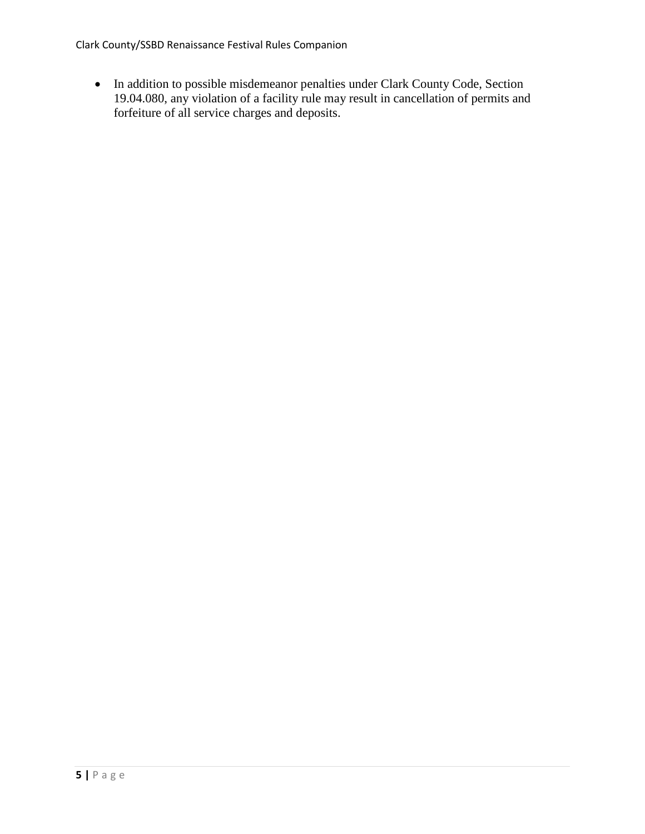Clark County/SSBD Renaissance Festival Rules Companion

• In addition to possible misdemeanor penalties under Clark County Code, Section 19.04.080, any violation of a facility rule may result in cancellation of permits and forfeiture of all service charges and deposits.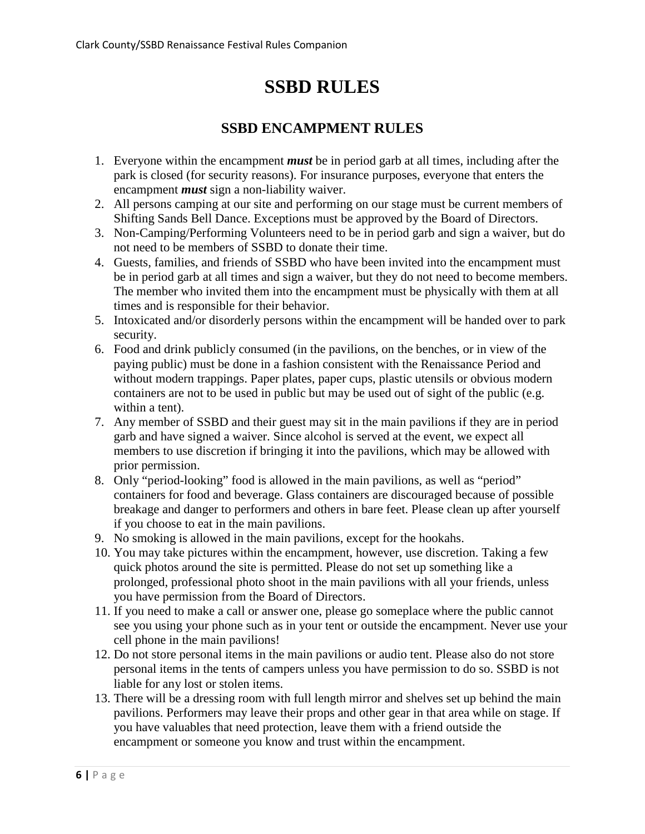# **SSBD RULES**

## **SSBD ENCAMPMENT RULES**

- 1. Everyone within the encampment *must* be in period garb at all times, including after the park is closed (for security reasons). For insurance purposes, everyone that enters the encampment *must* sign a non-liability waiver.
- 2. All persons camping at our site and performing on our stage must be current members of Shifting Sands Bell Dance. Exceptions must be approved by the Board of Directors.
- 3. Non-Camping/Performing Volunteers need to be in period garb and sign a waiver, but do not need to be members of SSBD to donate their time.
- 4. Guests, families, and friends of SSBD who have been invited into the encampment must be in period garb at all times and sign a waiver, but they do not need to become members. The member who invited them into the encampment must be physically with them at all times and is responsible for their behavior.
- 5. Intoxicated and/or disorderly persons within the encampment will be handed over to park security.
- 6. Food and drink publicly consumed (in the pavilions, on the benches, or in view of the paying public) must be done in a fashion consistent with the Renaissance Period and without modern trappings. Paper plates, paper cups, plastic utensils or obvious modern containers are not to be used in public but may be used out of sight of the public (e.g. within a tent).
- 7. Any member of SSBD and their guest may sit in the main pavilions if they are in period garb and have signed a waiver. Since alcohol is served at the event, we expect all members to use discretion if bringing it into the pavilions, which may be allowed with prior permission.
- 8. Only "period-looking" food is allowed in the main pavilions, as well as "period" containers for food and beverage. Glass containers are discouraged because of possible breakage and danger to performers and others in bare feet. Please clean up after yourself if you choose to eat in the main pavilions.
- 9. No smoking is allowed in the main pavilions, except for the hookahs.
- 10. You may take pictures within the encampment, however, use discretion. Taking a few quick photos around the site is permitted. Please do not set up something like a prolonged, professional photo shoot in the main pavilions with all your friends, unless you have permission from the Board of Directors.
- 11. If you need to make a call or answer one, please go someplace where the public cannot see you using your phone such as in your tent or outside the encampment. Never use your cell phone in the main pavilions!
- 12. Do not store personal items in the main pavilions or audio tent. Please also do not store personal items in the tents of campers unless you have permission to do so. SSBD is not liable for any lost or stolen items.
- 13. There will be a dressing room with full length mirror and shelves set up behind the main pavilions. Performers may leave their props and other gear in that area while on stage. If you have valuables that need protection, leave them with a friend outside the encampment or someone you know and trust within the encampment.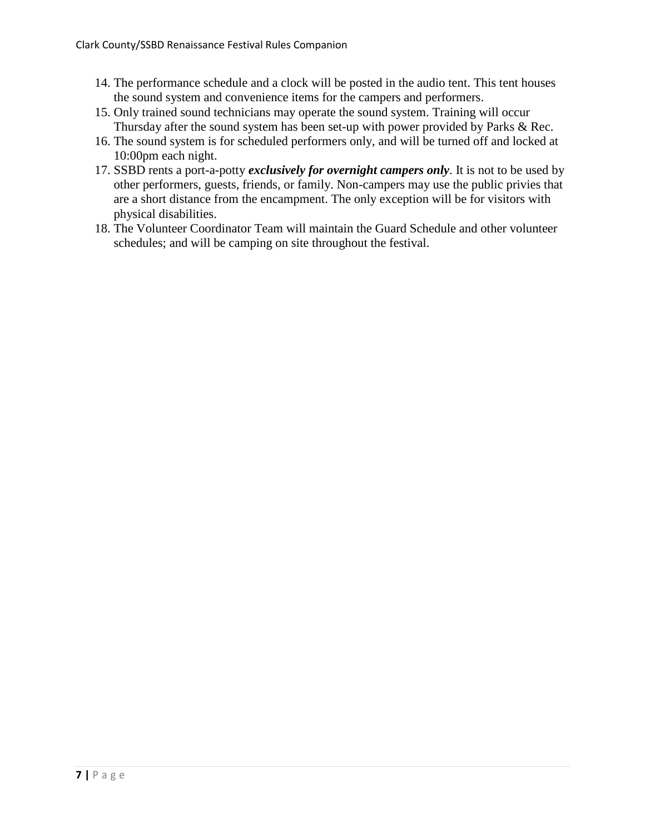- 14. The performance schedule and a clock will be posted in the audio tent. This tent houses the sound system and convenience items for the campers and performers.
- 15. Only trained sound technicians may operate the sound system. Training will occur Thursday after the sound system has been set-up with power provided by Parks & Rec.
- 16. The sound system is for scheduled performers only, and will be turned off and locked at 10:00pm each night.
- 17. SSBD rents a port-a-potty *exclusively for overnight campers only*. It is not to be used by other performers, guests, friends, or family. Non-campers may use the public privies that are a short distance from the encampment. The only exception will be for visitors with physical disabilities.
- 18. The Volunteer Coordinator Team will maintain the Guard Schedule and other volunteer schedules; and will be camping on site throughout the festival.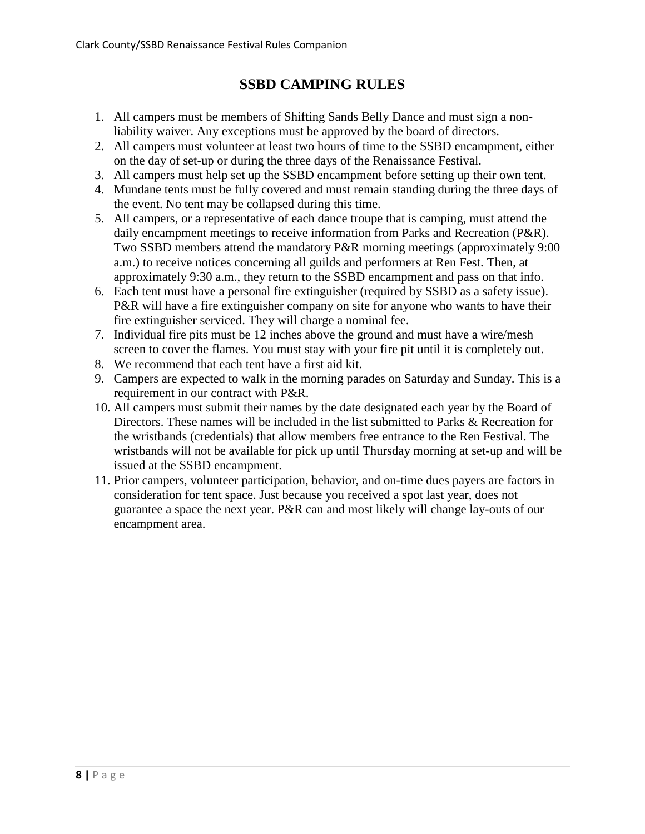## **SSBD CAMPING RULES**

- 1. All campers must be members of Shifting Sands Belly Dance and must sign a nonliability waiver. Any exceptions must be approved by the board of directors.
- 2. All campers must volunteer at least two hours of time to the SSBD encampment, either on the day of set-up or during the three days of the Renaissance Festival.
- 3. All campers must help set up the SSBD encampment before setting up their own tent.
- 4. Mundane tents must be fully covered and must remain standing during the three days of the event. No tent may be collapsed during this time.
- 5. All campers, or a representative of each dance troupe that is camping, must attend the daily encampment meetings to receive information from Parks and Recreation (P&R). Two SSBD members attend the mandatory P&R morning meetings (approximately 9:00 a.m.) to receive notices concerning all guilds and performers at Ren Fest. Then, at approximately 9:30 a.m., they return to the SSBD encampment and pass on that info.
- 6. Each tent must have a personal fire extinguisher (required by SSBD as a safety issue). P&R will have a fire extinguisher company on site for anyone who wants to have their fire extinguisher serviced. They will charge a nominal fee.
- 7. Individual fire pits must be 12 inches above the ground and must have a wire/mesh screen to cover the flames. You must stay with your fire pit until it is completely out.
- 8. We recommend that each tent have a first aid kit.
- 9. Campers are expected to walk in the morning parades on Saturday and Sunday. This is a requirement in our contract with P&R.
- 10. All campers must submit their names by the date designated each year by the Board of Directors. These names will be included in the list submitted to Parks & Recreation for the wristbands (credentials) that allow members free entrance to the Ren Festival. The wristbands will not be available for pick up until Thursday morning at set-up and will be issued at the SSBD encampment.
- 11. Prior campers, volunteer participation, behavior, and on-time dues payers are factors in consideration for tent space. Just because you received a spot last year, does not guarantee a space the next year. P&R can and most likely will change lay-outs of our encampment area.